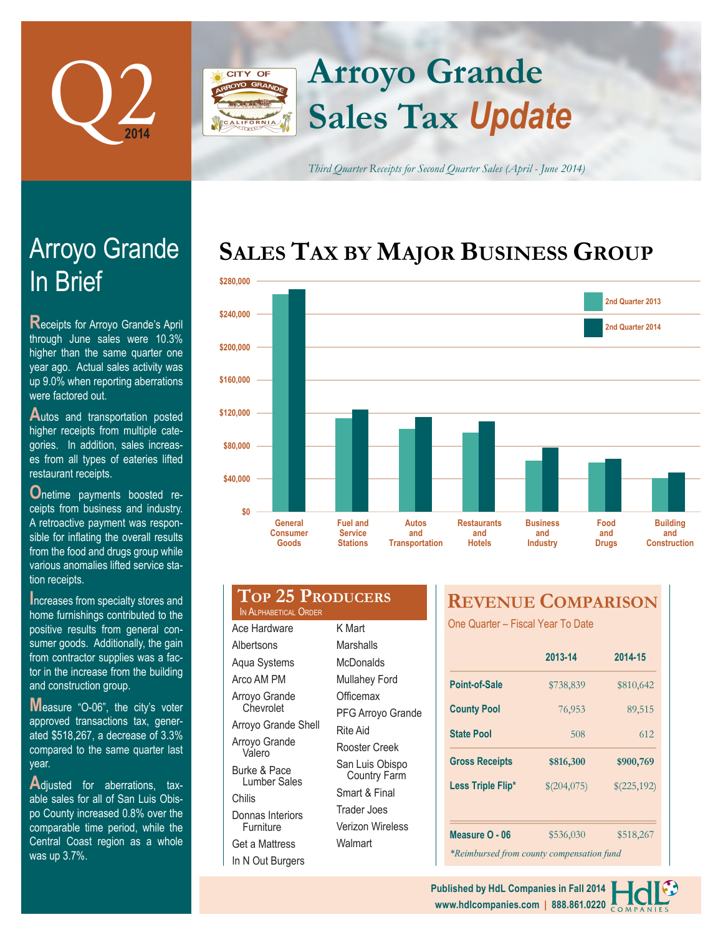

## **Arroyo Grande CITY OF Sales Tax** *Update*

*Third Quarter Receipts for Second Quarter Sales (April - June 2014)*

## **SALES TAX BY MAJOR BUSINESS GROUP**



| \$200,000 |                                            |                                                      |                                              |                                            |                                           |                             |            |
|-----------|--------------------------------------------|------------------------------------------------------|----------------------------------------------|--------------------------------------------|-------------------------------------------|-----------------------------|------------|
| \$160,000 |                                            |                                                      |                                              |                                            |                                           |                             |            |
| \$120,000 |                                            |                                                      |                                              |                                            |                                           |                             |            |
| \$80,000  |                                            |                                                      |                                              |                                            |                                           |                             |            |
| \$40,000  |                                            |                                                      |                                              |                                            |                                           |                             |            |
| \$0       |                                            |                                                      |                                              |                                            |                                           |                             |            |
|           | <b>General</b><br><b>Consumer</b><br>Goods | <b>Fuel and</b><br><b>Service</b><br><b>Stations</b> | <b>Autos</b><br>and<br><b>Transportation</b> | <b>Restaurants</b><br>and<br><b>Hotels</b> | <b>Business</b><br>and<br><b>Industry</b> | Food<br>and<br><b>Drugs</b> | Bu<br>Cons |
|           | IN ALPHABETICAL ORDER                      | <b>TOP 25 PRODUCERS</b>                              |                                              | <b>REVENUE COMPARISON</b>                  |                                           |                             |            |
|           | Ace Hardware                               | K Mart                                               |                                              | One Quarter - Fiscal Year To Date          |                                           |                             |            |

## In Brief Arroyo Grande

**R**eceipts for Arroyo Grande's April through June sales were 10.3% higher than the same quarter one year ago. Actual sales activity was up 9.0% when reporting aberrations were factored out.

Autos and transportation posted higher receipts from multiple categories. In addition, sales increases from all types of eateries lifted restaurant receipts.

**O**netime payments boosted receipts from business and industry. A retroactive payment was responsible for inflating the overall results from the food and drugs group while various anomalies lifted service station receipts.

**Increases from specialty stores and** home furnishings contributed to the positive results from general consumer goods. Additionally, the gain from contractor supplies was a factor in the increase from the building and construction group.

**M**easure "O-06", the city's voter approved transactions tax, generated \$518,267, a decrease of 3.3% compared to the same quarter last year.

**A**djusted for aberrations, taxable sales for all of San Luis Obispo County increased 0.8% over the comparable time period, while the Central Coast region as a whole was up 3.7%.

| LOP Z5 PRODUCERS<br>IN ALPHABETICAL ORDER |                                        |  |  |  |
|-------------------------------------------|----------------------------------------|--|--|--|
| Ace Hardware                              | K Mart                                 |  |  |  |
| Albertsons                                | Marshalls                              |  |  |  |
| Aqua Systems                              | McDonalds                              |  |  |  |
| Arco AM PM                                | <b>Mullahey Ford</b>                   |  |  |  |
| Arroyo Grande                             | Officemax                              |  |  |  |
| Chevrolet                                 | PFG Arroyo Grande                      |  |  |  |
| Arroyo Grande Shell                       | Rite Aid                               |  |  |  |
| Arroyo Grande<br>Valero                   | Rooster Creek                          |  |  |  |
| Burke & Pace<br>Lumber Sales              | San Luis Obispo<br><b>Country Farm</b> |  |  |  |
| Chilis                                    | Smart & Final                          |  |  |  |
| Donnas Interiors                          | Trader Joes                            |  |  |  |
| Furniture                                 | Verizon Wireless                       |  |  |  |
| Get a Mattress                            | Walmart                                |  |  |  |
| In N Out Burgers                          |                                        |  |  |  |
|                                           |                                        |  |  |  |

|                                           | 2013-14     | 2014-15     |  |  |  |
|-------------------------------------------|-------------|-------------|--|--|--|
| Point-of-Sale                             | \$738,839   | \$810,642   |  |  |  |
| <b>County Pool</b>                        | 76,953      | 89,515      |  |  |  |
| <b>State Pool</b>                         | 508         | 612         |  |  |  |
| <b>Gross Receipts</b>                     | \$816,300   | \$900,769   |  |  |  |
| Less Triple Flip*                         | \$(204,075) | \$(225,192) |  |  |  |
|                                           |             |             |  |  |  |
| Measure O - 06                            | \$536,030   | \$518,267   |  |  |  |
| *Reimbursed from county compensation fund |             |             |  |  |  |

**www.hdlcompanies.com | 888.861.0220 Published by HdL Companies in Fall 2014**